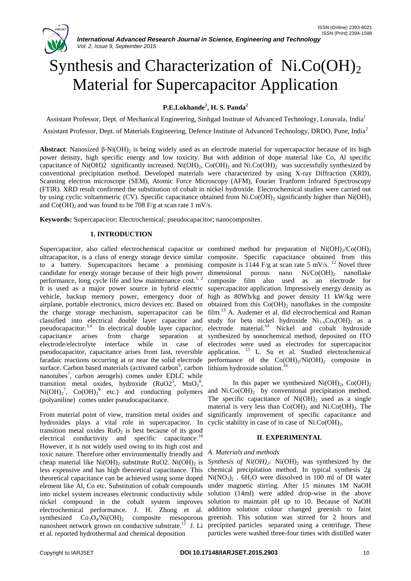

# Synthesis and Characterization of  $Ni_{\cdot}Co(OH)_{2}$ Material for Supercapacitor Application

## **P.E.Lokhande<sup>1</sup> , H. S. Panda<sup>2</sup>**

Assistant Professor, Dept. of Mechanical Engineering, Sinhgad Institute of Advanced Technology, Lonavala, India<sup>1</sup> Assistant Professor, Dept. of Materials Engineering, Defence Institute of Advanced Technology, DRDO, Pune, India<sup>2</sup>

**Abstract:** Nanosized β-Ni(OH)<sub>2</sub> is being widely used as an electrode material for supercapacitor because of its high power density, high specific energy and low toxicity. But with addition of dope material like Co, Al specific capacitance of Ni(OH)2 significantly increased. Ni(OH)<sub>2</sub>, Co(OH)<sub>2</sub> and Ni.Co(OH)<sub>2</sub> was successfully synthesized by conventional precipitation method. Developed materials were characterized by using X-ray Diffraction (XRD), Scanning electron microscope (SEM), Atomic Force Microscopy (AFM), Fourier Tranform Infrared Spectroscopy (FTIR). XRD result confirmed the substitution of cobalt in nickel hydroxide. Electrochemical studies were carried out by using cyclic voltammetric (CV). Specific capacitance obtained from Ni.Co(OH)<sub>2</sub> significantly higher than Ni(OH)<sub>2</sub> and  $Co(OH)_{2}$  and was found to be 708 F/g at scan rate 1 mV/s.

**Keywords:** Supercapaciror; Electrochemical; pseudocapacitor; nanocomposites.

### **1. INTRODUCTION**

Supercapacitor, also called electrochemical capacitor or combined method for preparation of  $Ni(OH)_2/Co(OH)_2$ ultracapacitor, is a class of energy storage device similar composite. Specific capacitance obtained from this to a battery. Supercapacitors became a promising composite is  $1144$  F/g at scan rate 5 mV/s. <sup>12</sup> Novel three candidate for energy storage because of their high power performance, long cycle life and low maintenance  $\cos t$ <sup>1, 2</sup> It is used as a major power source in hybrid electric supercapacitor application. Impressively energy density as vehicle, backup memory power, emergency door of high as 80Wh/kg and power density 11 kW/kg were airplane, portable electronics, micro devices etc. Based on obtained from this  $Co(OH)_2$  nanoflakes in the composite the charge storage mechanism, supercapacitor can be film.<sup>13</sup> A. Audemer et al. did electrochemical and Raman classified into electrical double layer capacitor and study for beta nickel hydroxide  $Ni_{1-x}Co_x(OH)_2$  as a pseudocapacitor.<sup>3,4</sup> In electrical double layer capacitor, electrode material.<sup>14</sup> Nickel and cobalt hydroxide capacitance arises from charge separation electrode/electrolyte interface while in case of pseudocapacitor, capacitance arises from fast, reversible faradaic reactions occurring at or near the solid electrode surface. Carbon based materials (activated carbon<sup>9</sup>, carbon lithium hydroxide solution.<sup>16</sup> nanotubes<sup>7</sup>, carbon aerogels) comes under EDLC while transition metal oxides, hydroxide  $(RuO2^5, MnO_2^8,$  $Ni(OH)<sub>2</sub><sup>7</sup>$ ,  $Co(OH)<sub>2</sub><sup>9</sup>$  etc.) and conducting polymers (polyaniline) comes under pseudocapacitance.

From material point of view, transition metal oxides and hydroxides plays a vital role in supercapacitor. In transition metal oxides  $RuO<sub>2</sub>$  is best because of its good electrical conductivity and specific capacitance.<sup>10</sup> However, it is not widely used owing to its high cost and toxic nature. Therefore other environmentally friendly and cheap material like  $Ni(OH)_2$  substitute RuO2.  $Ni(OH)_2$  is less expensive and has high theoretical capacitance. This theoretical capacitance can be achieved using some doped element like Al, Co etc. Substitution of cobalt compounds into nickel system increases electronic conductivity while nickel compound in the cobalt system improves electrochemical performance. J. H. Zhong et al. synthesized  $Co_3O_4/Ni(OH)_2$  composite mesoporous nanosheet network grown on conductive substrate.<sup>11</sup> J. Li et al. reported hydrothermal and chemical deposition

dimensional porous nano  $Ni/Co(OH)_{2}$  nanoflake composite film also used as an electrode for synthesized by sonochemical method, deposited on ITO electrodes were used as electrodes for supercapacitor application. <sup>15</sup> L. Su et al. Studied electrochemical performance of the  $Co(OH)_2/Ni(OH)_2$  composite in

In this paper we synthesized  $Ni(OH)_{2}$ , Co(OH)<sub>2</sub> and  $NiCO(OH)$ <sub>2</sub> by conventional precipitation method. The specific capacitance of  $Ni(OH)_{2}$  used as a single material is very less than  $Co(OH)_{2}$  and  $NiCO(OH)_{2}$ . The significantly improvement of specific capacitance and cyclic stability in case of in case of  $Ni.Co(OH)_{2}$ .

#### **II**. **EXPERIMENTAL**

#### *A. Materials and methods*

*Synthesis of Ni(OH)*<sub>2</sub>*:* Ni(OH)<sub>2</sub> was synthesized by the chemical precipitation method. In typical synthesis 2g  $Ni(NO<sub>3</sub>)<sub>2</sub>$ . 6H<sub>2</sub>O were dissolved in 100 ml of DI water under magnetic stirring. After 15 minutes 1M NaOH solution (14ml) were added drop-wise in the above solution to maintain pH up to 10. Because of NaOH addition solution colour changed greenish to faint greenish. This solution was stirred for 2 hours and precipited particles separated using a centrifuge. These particles were washed three-four times with distilled water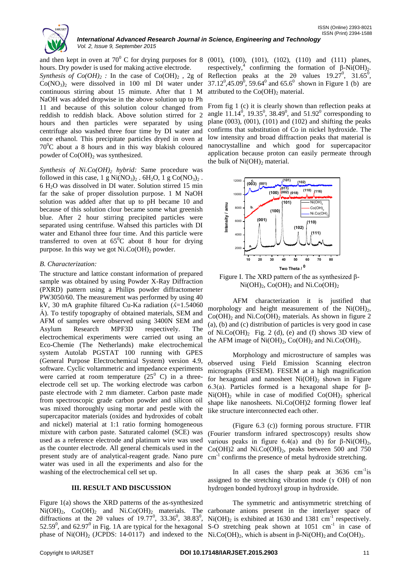

hours. Dry powder is used for making active electrode. *Synthesis of Co(OH)*<sup>2</sup> *:* In the case of Co(OH)<sup>2</sup> , 2g of  $Co(NO<sub>3</sub>)<sub>2</sub>$  were dissolved in 100 ml DI water under continuous stirring about 15 mimute. After that 1 M NaOH was added dropwise in the above solution up to Ph 11 and because of this solution colour changed from reddish to reddish black. Above solution stirred for 2 hours and then particles were separated by using centrifuge also washed three four time by DI water and once ethanol. This precipitate particles dryed in oven at  $70^{\circ}$ C about a 8 hours and in this way blakish coloured powder of  $Co(OH)_2$  was synthesized.

*Synthesis of Ni.Co(OH)<sup>2</sup> hybrid:* Same procedure was followed in this case, 1 g  $Ni(NO<sub>3</sub>)<sub>2</sub>$ . 6H<sub>2</sub>O, 1 g Co(NO<sub>3</sub>)<sub>2</sub>. 6 H2O was dissolved in DI water. Solution stirred 15 min far the sake of proper dissolution purpose. 1 M NaOH solution was added after that up to pH became 10 and because of this solution clour became some what greenish blue. After 2 hour stirring precipited particles were separated using centrifuse. Wahsed this particles with DI water and Ethanol three four time. And this particle were transferred to oven at  $65^{\circ}$ C about 8 hour for drying purpose. In this way we got  $NiCO(OH)_2$  powder.

#### *B. Characterization:*

The structure and lattice constant information of prepared sample was obtained by using Powder X-Ray Diffraction (PXRD) pattern using a Philips powder diffractometer PW3050/60. The measurement was performed by using 40 kV, 30 mA graphite filtared Cu-Ka radiation  $(A=1.54060)$ A). To testify topography of obtained materials, SEM and AFM of samples were observed using 3400N SEM and Asylum Research MPF3D respectively. The electrochemical experiments were carried out using an Eco-Chemie (The Netherlands) make electrochemical system Autolab PGSTAT 100 running with GPES (General Purpose Electrochemical System) version 4.9, software. Cyclic voltammetric and impedance experiments were carried at room temperature  $(25^0 \text{ C})$  in a threeelectrode cell set up. The working electrode was carbon paste electrode with 2 mm diameter. Carbon paste made from spectroscopic grade carbon powder and silicon oil was mixed thoroughly using mortar and pestle with the supercapacitor materials (oxides and hydroxides of cobalt and nickel) material at 1:1 ratio forming homogeneous mixture with carbon paste. Saturated calomel (SCE) was used as a reference electrode and platinum wire was used as the counter electrode. All general chemicals used in the present study are of analytical-reagent grade. Nano pure water was used in all the experiments and also for the washing of the electrochemical cell set up.

#### **III. RESULT AND DISCUSSION**

Figure 1(a) shows the XRD patterns of the as-synthesized diffractions at the 2 $\theta$  values of 19.77<sup>0</sup>, 33.36<sup>0</sup>, 38.83<sup>0</sup>, 52.59 $^{\circ}$ , and 62.97 $^{\circ}$  in Fig. 1A are typical for the hexagonal

and then kept in oven at  $70^0$  C for drying purposes for 8 (001), (100), (101), (102), (110) and (111) planes, respectively,<sup>4</sup> confirming the formation of  $\beta$ -Ni(OH)<sub>2</sub>. Reflection peaks at the  $2\theta$  values  $19.27^\circ$ ,  $31.65^\circ$ ,  $37.12^0,45.09^0, 59.64^0$  and  $65.6^0$  shown in Figure 1 (b) are attributed to the  $Co(OH)$ <sub>2</sub> material.

> From fig 1 (c) it is clearly shown than reflection peaks at angle  $11.14^{\circ}$ ,  $19.35^{\circ}$ ,  $38.49^{\circ}$ , and  $51.92^{\circ}$  corresponding to plane  $(003)$ ,  $(001)$ ,  $(101)$  and  $(102)$  and shifting the peaks confirms that substitution of Co in nickel hydroxide. The low intensity and broad diffraction peaks that material is nanocrystalline and which good for supercapacitor application because proton can easily permeate through the bulk of  $Ni(OH)_2$  material.



Figure I. The XRD pattern of the as synthesized β- $Ni(OH)<sub>2</sub>, Co(OH)<sub>2</sub>$  and  $NiCo(OH)<sub>2</sub>$ 

AFM characterization it is justified that morphology and height measurement of the  $Ni(OH)_2$ ,  $Co(OH)<sub>2</sub>$  and Ni.Co $(OH)<sub>2</sub>$  materials. As shown in figure 2 (a), (b) and (c) distribution of particles is very good in case of  $NiCO(OH)<sub>2</sub>$  Fig. 2 (d), (e) and (f) shows 3D view of the AFM image of  $Ni(OH)_{2}$ , Co(OH)<sub>2</sub> and Ni.Co(OH)<sub>2</sub>.

Morphology and microstructure of samples was observed using Field Emission Scanning electron micrographs (FESEM). FESEM at a high magnification for hexagonal and nanosheet  $Ni(OH)_2$  shown in Figure 6.3(a). Particles formed is a hexagonal shape for β- $Ni(OH)_{2}$  while in case of modified  $Co(OH)_{2}$  spherical shape like nanosheets. Ni.Co(OH)2 forming flower leaf like structure interconnected each other.

(Figure 6.3 (c)) forming porous structure. FTIR (Fourier transform infrared spectroscopy) results show various peaks in figure 6.4(a) and (b) for  $β$ -Ni(OH)<sub>2</sub>,  $Co(OH)2$  and Ni. $Co(OH)_2$ , peaks between 500 and 750 cm<sup>-1</sup> confirms the presence of metal hydroxide stretching.

In all cases the sharp peak at  $3636 \text{ cm}^{-1}$  is assigned to the stretching vibration mode (ɤ OH) of non hydrogen bonded hydroxyl group in hydroxide.

 $Ni(OH)_2$ ,  $Co(OH)_2$  and  $NiCO(OH)_2$  materials. The carbonate anions present in the interlayer space of phase of Ni(OH)<sub>2</sub> (JCPDS: 14-0117) and indexed to the Ni.Co(OH)<sub>2</sub>, which is absent in β-Ni(OH)<sub>2</sub> and Co(OH)<sub>2</sub>. The symmetric and antisymmetric stretching of  $Ni(OH)_2$  is exhibited at 1630 and 1381 cm<sup>-1</sup> respectively. S-O stretching peak shown at  $1051 \text{ cm}^{-1}$  in case of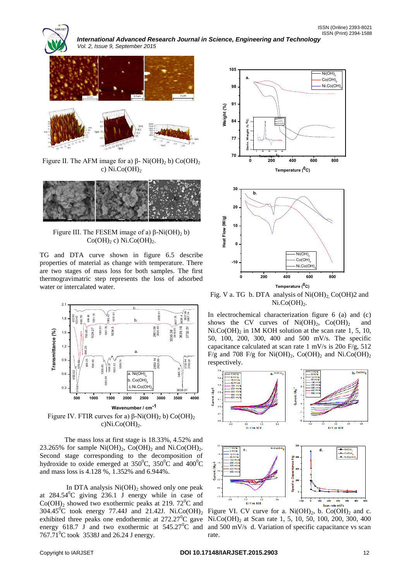

*International Advanced Research Journal in Science, Engineering and Technology Vol. 2, Issue 9, September 2015*





Figure II. The AFM image for a)  $\beta$ - Ni(OH)<sub>2</sub> b) Co(OH)<sub>2</sub> c)  $Ni.Co(OH)<sub>2</sub>$ 



Figure III. The FESEM image of a)  $\beta$ -Ni(OH)<sub>2</sub> b)  $Co(OH)_{2}$  c) Ni.Co $(OH)_{2}$ .

TG and DTA curve shown in figure 6.5 describe properties of material as change with temperature. There are two stages of mass loss for both samples. The first thermogravimatric step represents the loss of adsorbed water or intercalated water.



c) $Ni.Co(OH)<sub>2</sub>$ .

The mass loss at first stage is 18.33%, 4.52% and 23.265% for sample  $Ni(OH)_2$ ,  $Co(OH)_2$  and  $NiCO(OH)_2$ . Second stage corresponding to the decomposition of hydroxide to oxide emerged at  $350^{\circ}$ C,  $350^{\circ}$ C and  $400^{\circ}$ C and mass loss is 4.128 %, 1.352% and 6.944%.

In DTA analysis  $Ni(OH)$ <sub>2</sub> showed only one peak at  $284.54^{\circ}$ C giving 236.1 J energy while in case of  $Co(OH)$ <sub>2</sub> showed two exothermic peaks at 219. 72<sup>0</sup>C and energy 618.7 J and two exothermic at  $545.27^{\circ}$ C and 767.71<sup>°</sup>C took 3538J and 26.24 J energy.



Fig. V a. TG b. DTA analysis of  $Ni(OH)_2$ , Co(OH)2 and  $Ni.Co(OH)<sub>2</sub>$ .

In electrochemical characterization figure 6 (a) and (c) shows the CV curves of  $Ni(OH)_2$ ,  $Co(OH)_2$  and  $Ni.Co(OH)<sub>2</sub>$  in 1M KOH solution at the scan rate 1, 5, 10, 50, 100, 200, 300, 400 and 500 mV/s. The specific capacitance calculated at scan rate 1 mV/s is 20o F/g, 512 F/g and 708 F/g for Ni(OH)<sub>2</sub>, Co(OH)<sub>2</sub> and Ni.Co(OH)<sub>2</sub> respectively.



304.45<sup>°</sup>C took energy 77.44J and 21.42J. Ni.Co(OH)<sub>2</sub> Figure VI. CV curve for a. Ni(OH)<sub>2</sub>, b. Co(OH)<sub>2</sub> and c. exhibited three peaks one endothermic at  $272.27^{\circ}$ C gave Ni.Co(OH)<sub>2</sub> at Scan rate 1, 5, 10, 50, 100, 200, 300, 400 and 500 mV/s d. Variation of specific capacitance vs scan rate.